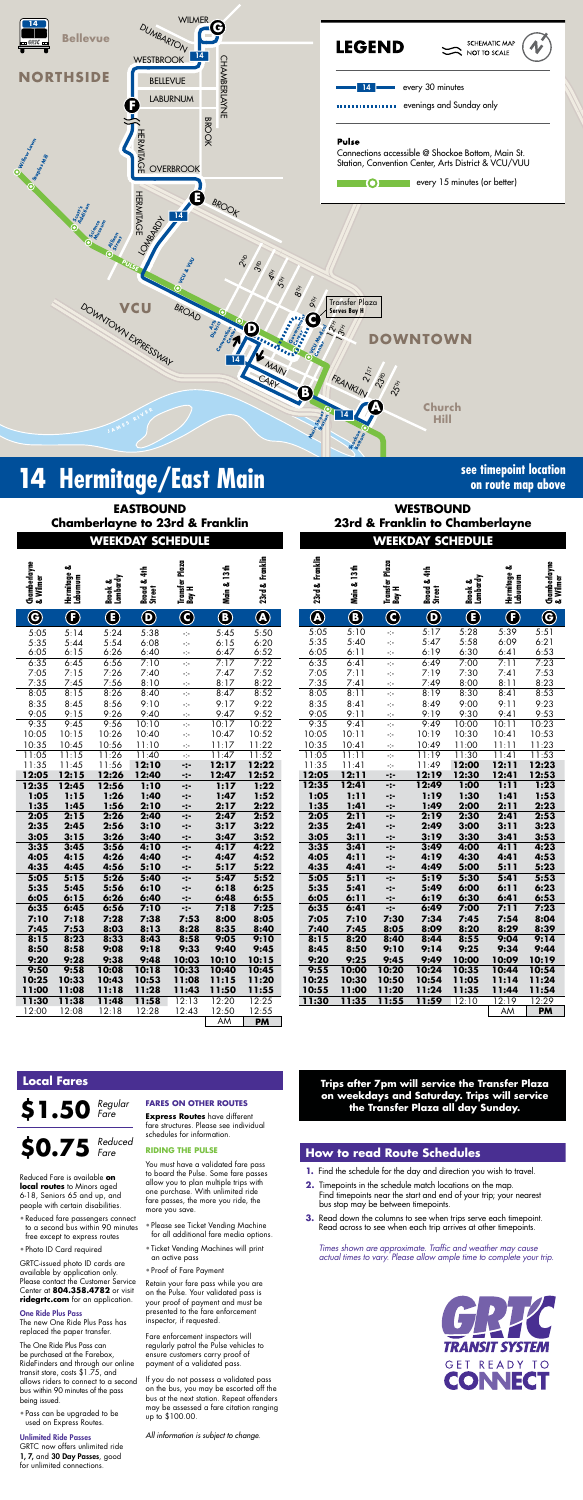

# **14** Hermitage/East Main<br> **14** Hermitage/East Main

#### **Rocketts WESTBOUND 23rd & Franklin to Chamberlayne**

**on route map above**

## **WEEKDAY SCHEDULE WEEKDAY SCHEDULE**

#### **Trips after 7pm will service the Transfer Plaza on weekdays and Saturday. Trips will service the Transfer Plaza all day Sunday.**

| & Wilmer                | ఱ<br>Hermitage &<br>Laburnum | Brook &<br>Lombardy | 4th<br>Broad &<br>Street | Plaza<br>Transfer I<br>Bay H                            | Main & 13th   | 23rd & Franklin        | 23rd & Franklin                    | Main & 13th  | Transfer Plaza<br>Bay H          | 4th<br>Broad & .<br>Street | Brook &<br>Lombardy | ఱ<br>Hermitage (<br>Laburnum | Chamberlayne<br>& Wilmer |
|-------------------------|------------------------------|---------------------|--------------------------|---------------------------------------------------------|---------------|------------------------|------------------------------------|--------------|----------------------------------|----------------------------|---------------------|------------------------------|--------------------------|
| $\overline{\mathbf{G}}$ | $\bigcirc$                   | $\bf \bm \Theta$    | $\mathbf{\Theta}$        | $\bigodot$                                              | $\bigcirc$    | $\widehat{\mathbf{C}}$ | $\bigcirc\hspace{-0.75mm}\bigcirc$ | $\bigcirc$   | $\bigcirc$                       | $\bf \Theta$               | $\bf \bm G$         | Œ                            | $\bf G$                  |
| 5:05                    | 5:14                         | 5:24                | 5:38                     | ÷                                                       | 5:45          | 5:50                   | 5:05                               | 5:10         | -1-                              | $\overline{5:17}$          | 5:28                | 5:39                         | 5:51                     |
| 5:35                    | 5:44                         | 5:54                | 6:08                     | ÷                                                       | 6:15          | 6:20                   | 5:35                               | 5:40         | ÷                                | 5:47                       | 5:58                | 6:09                         | 6:21                     |
| 5:05                    | 6:15                         | 6:26                | 6:40                     | -1-                                                     | 6:47          | 6:52                   | 6:05                               | 6:11         | $\mathcal{L}_{\mathcal{C}}$      | 6:19                       | 6:30                | 6:41                         | 6:53                     |
| 5:35                    | 6:45                         | 6:56                | 7:10                     | $\mathcal{L}$                                           | 7:17          | 7:22                   | 6:35                               | 6:41         | $\mathcal{L}^{\mathcal{L}}$      | 6:49                       | 7:00                | 7:11                         | 7:23                     |
| 7:05                    | 7:15                         | 7:26                | 7:40                     | ÷                                                       | 7:47          | 7:52                   | 7:05                               | 7:11         | ÷                                | 7:19                       | 7:30                | 7:41                         | 7:53                     |
| 7:35                    | 7:45                         | 7:56                | 8:10                     | ÷                                                       | 8:17          | 8:22                   | 7:35                               | 7:41         | $\mathcal{L}_{\mathcal{C}}$      | 7:49                       | 8:00                | 8:11                         | 8:23                     |
| 3:05                    | 8:15                         | 8:26                | 8:40                     | $\mathcal{L}^{\mathcal{L}}$                             | 8:47          | 8:52                   | 8:05                               | 8:11         | $\mathcal{L}_{\mathcal{C}}$      | 8:19                       | 8:30                | 8:41                         | 8:53                     |
| 3:35                    | 8:45                         | 8:56                | 9:10                     | ÷                                                       | 9:17          | 9:22                   | 8:35                               | 8:41         | ÷                                | 8:49                       | 9:00                | 9:11                         | 9:23                     |
| .05                     | 9:15                         | 9:26                | 9:40<br>10:10            | ÷                                                       | 9:47<br>10:17 | 9:52                   | 9:05                               | 9:11<br>9:41 | $\mathcal{L}_{\mathcal{C}}$      | 9:19<br>9:49               | 9:30                | 9:41<br>10:11                | 9:53                     |
| 2:35<br>0:05            | 9:45<br>10:15                | 9:56<br>10:26       | 10:40                    | $\mathcal{L}^{\mathcal{L}}_{\mathcal{L}^{\mathcal{L}}}$ | 10:47         | 10:22<br>10:52         | 9:35<br>10:05                      | 10:11        | ÷                                | 10:19                      | 10:00<br>10:30      | 10:41                        | 10:23<br>10:53           |
| 0:35                    | 10:45                        | 10:56               | 11:10                    | ÷                                                       | 11:17         | 11:22                  | 10:35                              | 10:41        | ÷<br>$\mathcal{L}_{\mathcal{C}}$ | 10:49                      | 11:00               | 11:11                        | 11:23                    |
| :05                     | 11:15                        | 11:26               | 11:40                    | ÷<br>÷                                                  | 11:47         | 11:52                  | 11:05                              | 11:11        | ÷                                | 11:19                      | 11:30               | 11:41                        | 11:53                    |
| :35                     | 11:45                        | 11:56               | 12:10                    | -:-                                                     | 12:17         | 12:22                  | 11:35                              | 11:41        | ÷                                | 11:49                      | 12:00               | 12:11                        | 12:23                    |
| 2:05                    | 12:15                        | 12:26               | 12:40                    | -:-                                                     | 12:47         | 12:52                  | 12:05                              | 12:11        | $-2-$                            | 12:19                      | 12:30               | 12:41                        | 12:53                    |
| 2:35                    | 12:45                        | 12:56               | 1:10                     | -:-                                                     | 1:17          | 1:22                   | 12:35                              | 12:41        | $-2-$                            | 12:49                      | 1:00                | 1:11                         | 1:23                     |
| 1:05                    | 1:15                         | 1:26                | 1:40                     | -:-                                                     | 1:47          | 1:52                   | 1:05                               | 1:11         | -:-                              | 1:19                       | 1:30                | 1:41                         | 1:53                     |
| 1:35                    | 1:45                         | 1:56                | 2:10                     | -:-                                                     | 2:17          | 2:22                   | 1:35                               | 1:41         | $-:-$                            | 1:49                       | 2:00                | 2:11                         | 2:23                     |
| 2:05                    | 2:15                         | 2:26                | 2:40                     | -:-                                                     | 2:47          | 2:52                   | 2:05                               | 2:11         | -:-                              | 2:19                       | 2:30                | 2:41                         | 2:53                     |
| 2:35                    | 2:45                         | 2:56                | 3:10                     | $-2-$                                                   | 3:17          | 3:22                   | 2:35                               | 2:41         | -:-                              | 2:49                       | 3:00                | 3:11                         | 3:23                     |
| 3:05                    | 3:15                         | 3:26                | 3:40                     | -:-                                                     | 3:47          | 3:52                   | 3:05                               | 3:11         | -:-                              | 3:19                       | 3:30                | 3:41                         | 3:53                     |
| 3:35                    | 3:45                         | 3:56                | 4:10                     | -:-                                                     | 4:17          | 4:22                   | 3:35                               | 3:41         | -:-                              | 3:49                       | 4:00                | 4:11                         | 4:23                     |
| l:05                    | 4:15                         | 4:26                | 4:40                     | -:-                                                     | 4:47          | 4:52                   | 4:05                               | 4:11         | -:-                              | 4:19                       | 4:30                | 4:41                         | 4:53                     |
| 1:35                    | 4:45                         | 4:56                | 5:10                     | $-:-$                                                   | 5:17          | 5:22                   | 4:35                               | 4:41         | -:-                              | 4:49                       | 5:00                | 5:11                         | 5:23                     |
| 5:05                    | 5:15                         | 5:26                | 5:40                     | $-2-$                                                   | 5:47          | 5:52                   | 5:05                               | 5:11         | -:-                              | 5:19                       | 5:30                | 5:41                         | 5:53                     |
| 5:35                    | 5:45                         | 5:56                | 6:10                     | $-2-$                                                   | 6:18          | 6:25                   | 5:35                               | 5:41         | -:-                              | 5:49                       | 6:00                | 6:11                         | 6:23                     |
| 5:05                    | 6:15                         | 6:26                | 6:40                     | -:-                                                     | 6:48          | 6:55                   | 6:05                               | 6:11         | -:-                              | 6:19                       | 6:30                | 6:41                         | 6:53                     |
| 5:35                    | 6:45                         | 6:56                | 7:10                     | $-2-$                                                   | 7:18          | 7:25                   | 6:35                               | 6:41         | $-2-$                            | 6:49                       | 7:00                | 7:11                         | 7:23                     |
| 7:10                    | 7:18                         | 7:28                | 7:38                     | 7:53                                                    | 8:00          | 8:05                   | 7:05                               | 7:10         | 7:30                             | 7:34                       | 7:45                | 7:54<br>8:29                 | 8:04                     |
| 1:45<br>3:15            | 7:53<br>8:23                 | 8:03<br>8:33        | 8:13<br>8:43             | 8:28<br>8:58                                            | 8:35<br>9:05  | 8:40<br>9:10           | 7:40<br>8:15                       | 7:45<br>8:20 | 8:05<br>8:40                     | 8:09<br>8:44               | 8:20<br>8:55        | 9:04                         | 8:39<br>9:14             |
|                         | 8:58                         | 9:08                | 9:18                     | 9:33                                                    | 9:40          | 9:45                   | 8:45                               | 8:50         | 9:10                             | 9:14                       | 9:25                | 9:34                         | 9:44                     |
| 3:50<br>20              | 9:28                         | 9:38                | 9:48                     | 10:03                                                   | 10:10         | 10:15                  | 9:20                               | 9:25         | 9:45                             | 9:49                       | 10:00               | 10:09                        | 10:19                    |
| ):50                    | 9:58                         | 10:08               | 10:18                    | 10:33                                                   | 10:40         | 10:45                  | 9:55                               | 10:00        | 10:20                            | 10:24                      | 10:35               | 10:44                        | 10:54                    |
| .25                     | 10:33                        | 10:43               | 10:53                    | 11:08                                                   | 11:15         | 11:20                  | 10:25                              | 10:30        | 10:50                            | 10:54                      | 11:05               | 11:14                        | 11:24                    |
| 1:00                    | 11:08                        | 11:18               | 11:28                    | 11:43                                                   | 11:50         | 11:55                  | 10:55                              | 11:00        | 11:20                            | 11:24                      | 11:35               | 11:44                        | 11:54                    |
| : 30                    | 11:38                        | 11:48               | 11:58                    | 12:13                                                   | 12:20         | 12:25                  | 11:30                              | 11:35        | 11:55                            | 11:59                      | 12:10               | 12:19                        | 12:29                    |
| 2:00                    | 12:08                        | 12:18               | 12:28                    | 12:43                                                   | 12:50         | 12:55                  |                                    |              |                                  |                            |                     | AM                           | <b>PM</b>                |

*Times shown are approximate. Traffic and weather may cause actual times to vary. Please allow ample time to complete your trip.*



| <b>EASTBOUND</b><br><b>Chamberlayne to 23rd &amp; Franklin</b> |                         |                     |                               |                         |                  |                                       |  |  |  |  |  |  |
|----------------------------------------------------------------|-------------------------|---------------------|-------------------------------|-------------------------|------------------|---------------------------------------|--|--|--|--|--|--|
|                                                                |                         |                     | <b>WEEKDAY SCHEDULE</b>       |                         |                  |                                       |  |  |  |  |  |  |
| Chamberlayne<br>& Wilmer                                       | Hermitage &<br>Laburnum | Brook &<br>Lombardy | $4$ th<br>Broad & 4<br>Street | Transfer Plaza<br>Bay H | Main & 13th      | 23rd & Franklin                       |  |  |  |  |  |  |
| $\overline{\mathbf{G}}$                                        | $\bf{(F)}$              | $\bf \bm \Theta$    | $\boldsymbol{\mathsf{Q}}$     | $\overline{\mathbf{C}}$ | $\bf \bm \Theta$ | $\overline{\textcircled{\textbf{A}}}$ |  |  |  |  |  |  |
| 5:05                                                           | 5:14                    | 5:24                | 5:38                          | ÷                       | 5:45             | 5:50                                  |  |  |  |  |  |  |
| 5:35                                                           | 5:44                    | 5:54                | 6:08                          | Ą.                      | 6:15             | 6:20                                  |  |  |  |  |  |  |
| 6:05                                                           | 6:15                    | 6:26                | 6:40                          | ÷                       | 6:47             | 6:52                                  |  |  |  |  |  |  |
| 6:35                                                           | 6:45                    | 6:56                | 7:10                          | Ę.                      | 7:17             | 7:22                                  |  |  |  |  |  |  |
| 7:05<br>7:35                                                   | 7:15                    | 7:26                | 7:40                          | ÷                       | 7:47             | 7:52                                  |  |  |  |  |  |  |
| 8:05                                                           | 7:45<br>8:15            | 7:56<br>8:26        | 8:10<br>8:40                  | ÷<br>÷                  | 8:17<br>8:47     | 8:22<br>8:52                          |  |  |  |  |  |  |
| 8:35                                                           | 8:45                    | 8:56                | 9:10                          | ÷                       | 9:17             | 9:22                                  |  |  |  |  |  |  |
| 9:05                                                           | 9:15                    | 9:26                | 9:40                          | ÷                       | 9:47             | 9:52                                  |  |  |  |  |  |  |
| 9:35                                                           | 9:45                    | 9:56                | 10:10                         | Ą.                      | 10:17            | 10:22                                 |  |  |  |  |  |  |
| 10:05                                                          | 10:15                   | 10:26               | 10:40                         | ÷                       | 10:47            | 10:52                                 |  |  |  |  |  |  |
| 10:35                                                          | 10:45                   | 10:56               | 11:10                         | ÷                       | 11:17            | 11:22                                 |  |  |  |  |  |  |
| 11:05                                                          | 11:15                   | 11:26               | 11:40                         | Ą.                      | 11:47            | 11:52                                 |  |  |  |  |  |  |
| 11:35                                                          | 11:45                   | 11:56               | 12:10                         | ∹:-                     | 12:17            | 12:22                                 |  |  |  |  |  |  |
| 12:05                                                          | 12:15                   | 12:26               | 12:40                         | -:-                     | 12:47            | 12:52                                 |  |  |  |  |  |  |
| 12:35                                                          | 12:45                   | 12:56               | 1:10                          | -:-                     | 1:17             | 1:22                                  |  |  |  |  |  |  |
| 1:05                                                           | 1:15                    | 1:26                | 1:40                          | -:-                     | 1:47             | 1:52                                  |  |  |  |  |  |  |
| 1:35                                                           | 1:45                    | 1:56                | 2:10                          | -:-                     | 2:17             | 2:22                                  |  |  |  |  |  |  |
| 2:05                                                           | 2:15                    | 2:26                | 2:40                          | -:-                     | 2:47             | 2:52                                  |  |  |  |  |  |  |
| 2:35                                                           | 2:45                    | 2:56                | 3:10                          | ∹:-                     | 3:17             | 3:22                                  |  |  |  |  |  |  |
| 3:05                                                           | 3:15                    | 3:26                | 3:40                          | -:-                     | 3:47             | 3:52                                  |  |  |  |  |  |  |
| 3:35<br>4:05                                                   | 3:45<br>4:15            | 3:56<br>4:26        | 4:10<br>4:40                  | -:-                     | 4:17<br>4:47     | 4:22<br>4:52                          |  |  |  |  |  |  |
| 4:35                                                           | 4:45                    | 4:56                | 5:10                          | -:-<br>-:-              | 5:17             | 5:22                                  |  |  |  |  |  |  |
| 5:05                                                           | 5:15                    | 5:26                | 5:40                          | -:-                     | 5:47             | 5:52                                  |  |  |  |  |  |  |
| 5:35                                                           | 5:45                    | 5:56                | 6:10                          | -:-                     | 6:18             | 6:25                                  |  |  |  |  |  |  |
| 6:05                                                           | 6:15                    | 6:26                | 6:40                          | -:-                     | 6:48             | 6:55                                  |  |  |  |  |  |  |
| 6:35                                                           | 6:45                    | 6:56                | 7:10                          | -:-                     | 7:18             | 7:25                                  |  |  |  |  |  |  |
| 7:10                                                           | 7:18                    | 7:28                | 7:38                          | 7:53                    | 8:00             | 8:05                                  |  |  |  |  |  |  |
| 7:45                                                           | 7:53                    | 8:03                | 8:13                          | 8:28                    | 8:35             | 8:40                                  |  |  |  |  |  |  |
| 8:15                                                           | 8:23                    | 8:33                | 8:43                          | 8:58                    | 9:05             | 9:10                                  |  |  |  |  |  |  |
| 8:50                                                           | 8:58                    | 9:08                | 9:18                          | 9:33                    | 9:40             | 9:45                                  |  |  |  |  |  |  |
| 9:20                                                           | 9:28                    | 9:38                | 9:48                          | 10:03                   | 10:10            | 10:15                                 |  |  |  |  |  |  |
| 9:50                                                           | 9:58                    | 10:08               | 10:18                         | 10:33                   | 10:40            | 10:45                                 |  |  |  |  |  |  |
| 10:25                                                          | 10:33                   | 10:43               | 10:53                         | 11:08                   | 11:15            | 11:20                                 |  |  |  |  |  |  |
| 11:00                                                          | 11:08                   | 11:18               | 11:28                         | 11:43                   | 11:50            | 11:55                                 |  |  |  |  |  |  |
| 11:30                                                          | 11:38                   | 11:48               | 11:58                         | 12:13<br>12:43          | 12:20            | 12:25                                 |  |  |  |  |  |  |
| 12:00                                                          | 12:08                   | 12:18               | 12:28                         |                         | 12:50<br>AM      | 12:55<br><b>PM</b>                    |  |  |  |  |  |  |
|                                                                |                         |                     |                               |                         |                  |                                       |  |  |  |  |  |  |

## **How to read Route Schedules**

- **1.** Find the schedule for the day and direction you wish to travel.
- **2.** Timepoints in the schedule match locations on the map. Find timepoints near the start and end of your trip; your nearest bus stop may be between timepoints.
- **3.** Read down the columns to see when trips serve each timepoint. Read across to see when each trip arrives at other timepoints.

### **Local Fares**

**\$1.50** *Regular Fare*

Reduced Fare is available **on local routes** to Minors aged 6-18, Seniors 65 and up, and people with certain disabilities. • Reduced fare passengers connect to a second bus within 90 minutes free except to express routes • Photo ID Card required GRTC-issued photo ID cards are available by application only. Please contact the Customer Service Center at **804.358.4782** or visit **ridegrtc.com** for an application.

One Ride Plus Pass

**\$0.75** *Reduced* 

The new One Ride Plus Pass has replaced the paper transfer. The One Ride Plus Pass can be purchased at the Farebox, RideFinders and through our online transit store, costs \$1.75, and allows riders to connect to a second bus within 90 minutes of the pass

#### being issued. • Pass can be upgraded to be used on Express Routes.

Unlimited Ride Passes GRTC now offers unlimited ride 1, 7, and 30 Day Passes, good for unlimited connections.

*Fare*

#### **FARES ON OTHER ROUTES**

**Express Routes** have different fare structures. Please see individual schedules for information.

#### **RIDING THE PULSE**

You must have a validated fare pass to board the Pulse. Some fare passes allow you to plan multiple trips with one purchase. With unlimited ride fare passes, the more you ride, the more you save.

- Please see Ticket Vending Machine for all additional fare media options.
- Ticket Vending Machines will print an active pass
- Proof of Fare Payment

Retain your fare pass while you are on the Pulse. Your validated pass is your proof of payment and must be presented to the fare enforcement inspector, if requested.

Fare enforcement inspectors will regularly patrol the Pulse vehicles to ensure customers carry proof of payment of a validated pass.

If you do not possess a validated pass on the bus, you may be escorted off the bus at the next station. Repeat offenders may be assessed a fare citation ranging up to \$100.00.

*All information is subject to change.*